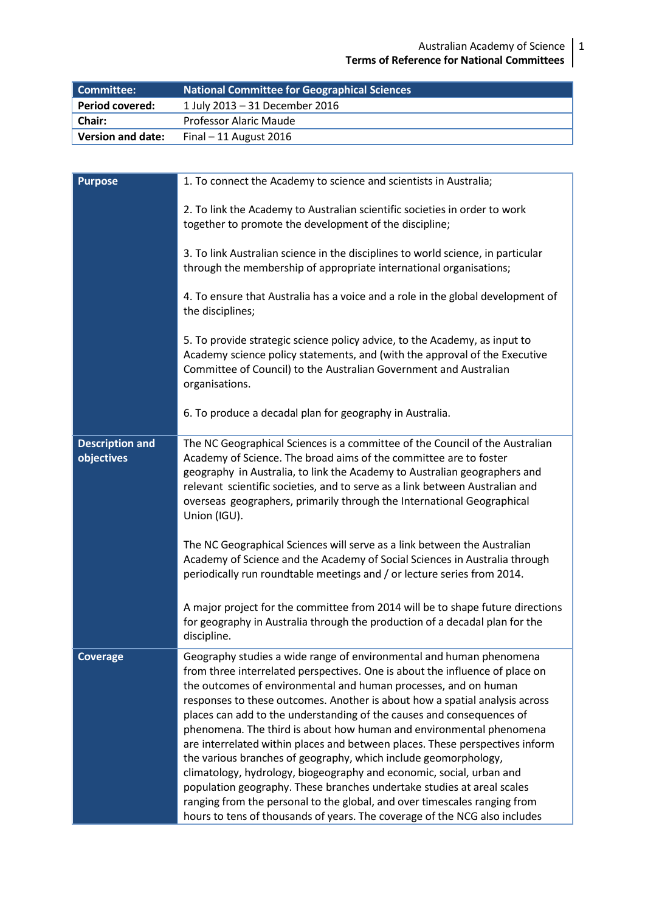| Committee:               | National Committee for Geographical Sciences |  |
|--------------------------|----------------------------------------------|--|
| <b>Period covered:</b>   | 1 July 2013 - 31 December 2016               |  |
| <b>Chair:</b>            | Professor Alaric Maude                       |  |
| <b>Version and date:</b> | Final $-11$ August 2016                      |  |

| <b>Purpose</b>                       | 1. To connect the Academy to science and scientists in Australia;                                                                                                                                                                                                                                                                                                                                                                                                                                                                                                                                                                                                                                                                                          |  |
|--------------------------------------|------------------------------------------------------------------------------------------------------------------------------------------------------------------------------------------------------------------------------------------------------------------------------------------------------------------------------------------------------------------------------------------------------------------------------------------------------------------------------------------------------------------------------------------------------------------------------------------------------------------------------------------------------------------------------------------------------------------------------------------------------------|--|
|                                      | 2. To link the Academy to Australian scientific societies in order to work<br>together to promote the development of the discipline;                                                                                                                                                                                                                                                                                                                                                                                                                                                                                                                                                                                                                       |  |
|                                      | 3. To link Australian science in the disciplines to world science, in particular<br>through the membership of appropriate international organisations;                                                                                                                                                                                                                                                                                                                                                                                                                                                                                                                                                                                                     |  |
|                                      | 4. To ensure that Australia has a voice and a role in the global development of<br>the disciplines;                                                                                                                                                                                                                                                                                                                                                                                                                                                                                                                                                                                                                                                        |  |
|                                      | 5. To provide strategic science policy advice, to the Academy, as input to<br>Academy science policy statements, and (with the approval of the Executive<br>Committee of Council) to the Australian Government and Australian<br>organisations.                                                                                                                                                                                                                                                                                                                                                                                                                                                                                                            |  |
|                                      | 6. To produce a decadal plan for geography in Australia.                                                                                                                                                                                                                                                                                                                                                                                                                                                                                                                                                                                                                                                                                                   |  |
| <b>Description and</b><br>objectives | The NC Geographical Sciences is a committee of the Council of the Australian<br>Academy of Science. The broad aims of the committee are to foster<br>geography in Australia, to link the Academy to Australian geographers and<br>relevant scientific societies, and to serve as a link between Australian and<br>overseas geographers, primarily through the International Geographical<br>Union (IGU).                                                                                                                                                                                                                                                                                                                                                   |  |
|                                      | The NC Geographical Sciences will serve as a link between the Australian<br>Academy of Science and the Academy of Social Sciences in Australia through<br>periodically run roundtable meetings and / or lecture series from 2014.                                                                                                                                                                                                                                                                                                                                                                                                                                                                                                                          |  |
|                                      | A major project for the committee from 2014 will be to shape future directions<br>for geography in Australia through the production of a decadal plan for the<br>discipline.                                                                                                                                                                                                                                                                                                                                                                                                                                                                                                                                                                               |  |
| <b>Coverage</b>                      | Geography studies a wide range of environmental and human phenomena<br>from three interrelated perspectives. One is about the influence of place on<br>the outcomes of environmental and human processes, and on human<br>responses to these outcomes. Another is about how a spatial analysis across<br>places can add to the understanding of the causes and consequences of<br>phenomena. The third is about how human and environmental phenomena<br>are interrelated within places and between places. These perspectives inform<br>the various branches of geography, which include geomorphology,<br>climatology, hydrology, biogeography and economic, social, urban and<br>population geography. These branches undertake studies at areal scales |  |
|                                      | ranging from the personal to the global, and over timescales ranging from<br>hours to tens of thousands of years. The coverage of the NCG also includes                                                                                                                                                                                                                                                                                                                                                                                                                                                                                                                                                                                                    |  |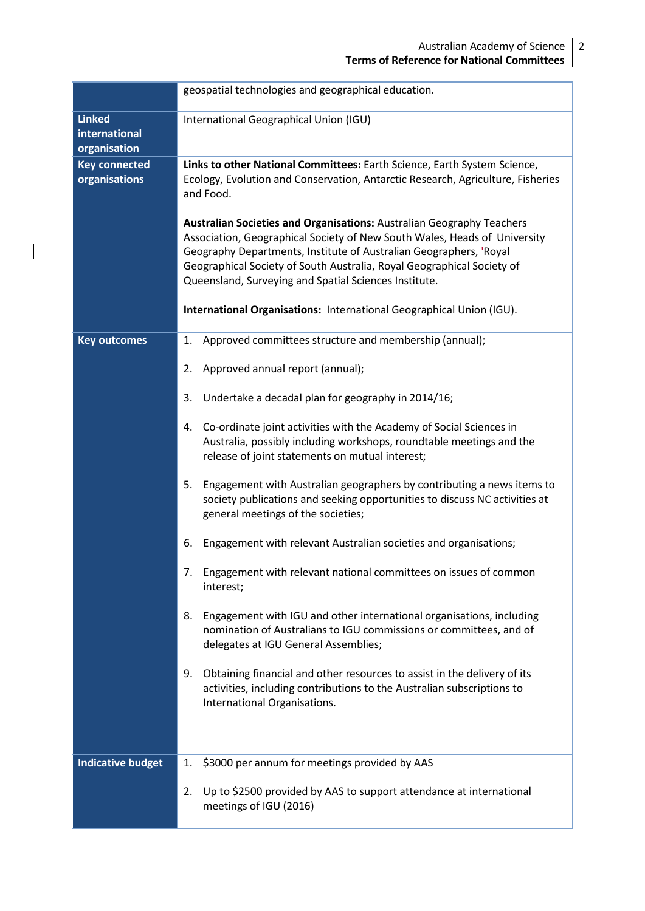|                                                | geospatial technologies and geographical education.                                                                                                                                                                                                                                                                                                                                                                                                                                                                                                                                                                                                                                                                                                                                                                                                                                                                                                                                                                                                                                                                                  |  |
|------------------------------------------------|--------------------------------------------------------------------------------------------------------------------------------------------------------------------------------------------------------------------------------------------------------------------------------------------------------------------------------------------------------------------------------------------------------------------------------------------------------------------------------------------------------------------------------------------------------------------------------------------------------------------------------------------------------------------------------------------------------------------------------------------------------------------------------------------------------------------------------------------------------------------------------------------------------------------------------------------------------------------------------------------------------------------------------------------------------------------------------------------------------------------------------------|--|
| <b>Linked</b><br>international<br>organisation | International Geographical Union (IGU)                                                                                                                                                                                                                                                                                                                                                                                                                                                                                                                                                                                                                                                                                                                                                                                                                                                                                                                                                                                                                                                                                               |  |
| <b>Key connected</b><br>organisations          | Links to other National Committees: Earth Science, Earth System Science,<br>Ecology, Evolution and Conservation, Antarctic Research, Agriculture, Fisheries<br>and Food.<br><b>Australian Societies and Organisations: Australian Geography Teachers</b><br>Association, Geographical Society of New South Wales, Heads of University<br>Geography Departments, Institute of Australian Geographers, <sup>'</sup> Royal<br>Geographical Society of South Australia, Royal Geographical Society of<br>Queensland, Surveying and Spatial Sciences Institute.<br>International Organisations: International Geographical Union (IGU).                                                                                                                                                                                                                                                                                                                                                                                                                                                                                                   |  |
| <b>Key outcomes</b>                            | Approved committees structure and membership (annual);<br>1.<br>Approved annual report (annual);<br>2.<br>3.<br>Undertake a decadal plan for geography in 2014/16;<br>Co-ordinate joint activities with the Academy of Social Sciences in<br>4.<br>Australia, possibly including workshops, roundtable meetings and the<br>release of joint statements on mutual interest;<br>Engagement with Australian geographers by contributing a news items to<br>5.<br>society publications and seeking opportunities to discuss NC activities at<br>general meetings of the societies;<br>Engagement with relevant Australian societies and organisations;<br>6.<br>7. Engagement with relevant national committees on issues of common<br>interest;<br>Engagement with IGU and other international organisations, including<br>8.<br>nomination of Australians to IGU commissions or committees, and of<br>delegates at IGU General Assemblies;<br>Obtaining financial and other resources to assist in the delivery of its<br>9.<br>activities, including contributions to the Australian subscriptions to<br>International Organisations. |  |
| <b>Indicative budget</b>                       | \$3000 per annum for meetings provided by AAS<br>1.<br>Up to \$2500 provided by AAS to support attendance at international<br>2.<br>meetings of IGU (2016)                                                                                                                                                                                                                                                                                                                                                                                                                                                                                                                                                                                                                                                                                                                                                                                                                                                                                                                                                                           |  |

 $\mathcal I$